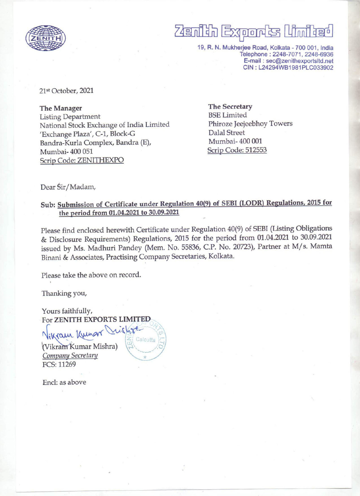

# $\overline{\phantom{a}}$ aiih Exports (Linifee

19, R. N. Mukherjee Road, Kolkata - 700 001, India Telephone : 2248-7071, 2248-6936 E-mail : sec@zenithexportslitd.net CIN : L24294WB1981PLC033902

21st October, 2021

The Manager The Secretary Listing Department<br>National Stock Exchange of India Limited Phiroze Jeejeebhoy Towers National Stock Exchange of India Limited 'Exchange Plaza', C-1, Block-G Dalal Street Bandra-Kurla Complex, Bandra (E), Mumbai- 400 001 Mumbai- 400 051 Scrip Code: 512553 Scrip Code: ZENITHEXPO

Dear Sir/Madam,

### Sub: Submission of Certificate under Regulation 40(9) of SEBI (LODR) Regulations, 2015 for the period from 01.04.2021 to 30.09.2021

Please find enclosed herewith Certificate under Regulation 40(9) of SEBI (Listing Obligations & Disclosure Requirements) Regulations, 2015 for the period from 01.04.2021 to 30.09.2021 issued by Ms. Madhuri Pandey (Mem. No. 55836, C.P. No. 20723), Partner at M/s. Mamta Binani & Associates, Practising Company Secretaries, Kolkata.

Please take the above on record.

Thanking you,

Yours faithfully, For ZENITH EXPORTS LIMITED

ikram Kunor Vughte  $V$ i $\overline{K}$ umar Mishra)  $\overline{K}$  Calcutta (Vikram Kumar Mishra) Company Secretary<br>FCS: 11269

Encl: as above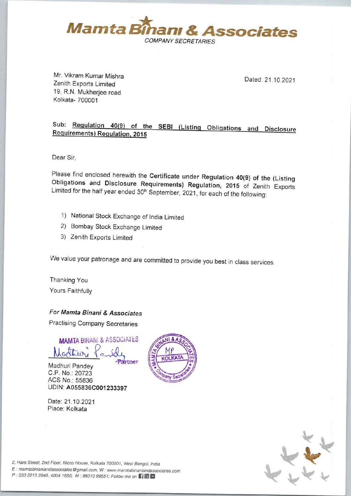

Mr. Vikram Kumar Mishra<br>Zenith Exports Limited and Dated: 21.10.2021 19, R.N. Mukherjee road Kolkata- 700001

## Sub: Regulation 40(9) of the SEBI (Listing Obligations and Disclosure Requirements) Requlation. 2015

Dear Sir,

the contract of the contract of

Please find enclosed herewith the Certificate under Regulation 40(9) of the (Listing Obligations and Disclosure Requirements) Regulation, 2015 of Zenith Exports Limited for the half year ended 30<sup>th</sup> September, 2021, for e Dear Sir,<br>
Please find enclosed herewith the Certifice<br>
Obligations and Disclosure Requireme<br>
Limited for the half year ended 30<sup>th</sup> Septemb<br>
1) National Stock Exchange of India Lim<br>
2) Bombay Stock Exchange dimited<br>
3) Z

- 1) National Stock Exchange of India Limited
- 2) Bombay Stock Exchange Limited
- 3) Zenith Exports Limited

We value your patronage and are committed to provide you best in class services.

Thanking You Yours Faithfully

For Mamta Binani & Associates

Practising Company Secretaries

MAMTA BINANI & ASSOCIATES Partner

Madhuri Pandey C.P. No.: 20723 ACS No.: 55836 UDIN: A055836C001 233397

Date: 21.10.2021 Place: Kolkata





2, Hare Street, 2nd Floor, Nicco House, Kolkata 700001, West Bengal, India

l, India<br>dassociates.<br>} <sup>E</sup>: mamtabinaniandassociates @ gmail.com, W : www.mamtabinaniandassociates.com

P : 033 2213 2045, 4004 1650; M : 98310 99551; Follow me on HE

the control of the control of the control of the control of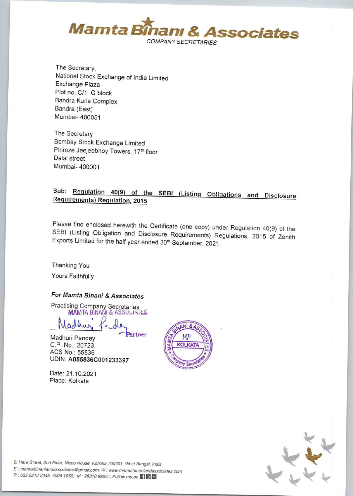

The Secretary, National Stock Exchange of India Limited Exchange Plaza Plot no. C/1, G block Bandra Kurla Complex Bandra (East) Mumbai- 400051

The Secretary Bombay Stock Exchange Limited Phiroze Jeejeebhoy Towers, 17th floor Dalal street Mumbai- 400001

### Sub: Regulation 40(9) of the SEBI (Listing Obligations and Disclosure Requirements) Requlation, 2015

Please find enclosed herewith the Certificate (one copy) under Regulation 40(9) of the SEBI (Listing Obligation and Disclosure Requirements) Regulations, 2015 of Zenith Exports Limited for the half year ended 30<sup>th</sup> September, 2021.

Thanking You Yours Faithfully

### For Mamta Binani & Associates

**Practising Company Secretaries**<br>MAMTA BINANI & ASSOCIATER

artner

Marthur.

Madhuri Pandev C.P. No.: 20723 ACS No.: 55836 UDIN: A055836C001233397

Date: 21.10.2021 Place: Kolkata





2, Hare Street, 2nd Floor, Nicco House, Kolkata 700001, West Bengal, India

E: mamtabinaniandassociates@gmail.com, W: www.mamtabinaniandassociates.com

P: 033 2213 2045, 4004 1650; M: 98310 99551; Follow me on  $\Box$  to